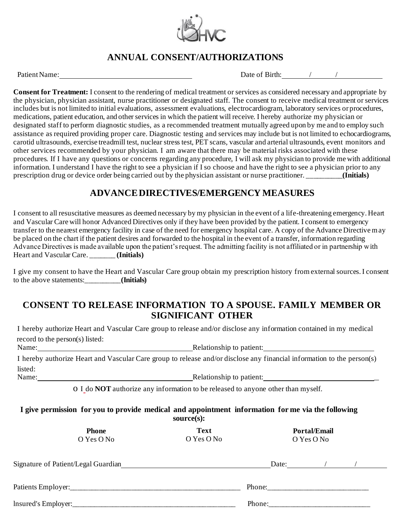

# **ANNUAL CONSENT/AUTHORIZATIONS**

Patient Name:  $\Box$  Date of Birth:  $\Box$  /

**Consent for Treatment:** I consent to the rendering of medical treatment or services as considered necessary and appropriate by the physician, physician assistant, nurse practitioner or designated staff. The consent to receive medical treatment or services includes but is not limited to initial evaluations, assessment evaluations, electrocardiogram, laboratory services or procedures, medications, patient education, and other services in which the patient will receive. I hereby authorize my physician or designated staff to perform diagnostic studies, as a recommended treatment mutually agreed upon by me and to employ such assistance as required providing proper care. Diagnostic testing and services may include but is not limited to echocardiograms, carotid ultrasounds, exercise treadmill test, nuclear stress test, PET scans, vascular and arterial ultrasounds, event monitors and other services recommended by your physician. I am aware that there may be material risks associated with these procedures. If I have any questions or concerns regarding any procedure, I will ask my physician to provide me with additional information. I understand I have the right to see a physician if I so choose and have the right to see a physician prior to any prescription drug or device order being carried out by the physician assistant or nurse practitioner. \_\_\_\_\_\_\_\_\_\_**(Initials)**

## **ADVANCE DIRECTIVES/EMERGENCY MEASURES**

I consent to all resuscitative measures as deemed necessary by my physician in the event of a life-threatening emergency. Heart and Vascular Care will honor Advanced Directives only if they have been provided by the patient. I consent to emergency transfer to the nearest emergency facility in case of the need for emergency hospital care. A copy of the Advance Directive may be placed on the chart if the patient desires and forwarded to the hospital in the event of a transfer, information regarding Advance Directives is made available upon the patient's request. The admitting facility is not affiliated or in partnership with Heart and Vascular Care. \_\_\_\_\_\_\_ **(Initials)**

I give my consent to have the Heart and Vascular Care group obtain my prescription history from external sources. I consent to the above statements:\_\_\_\_\_\_\_\_\_\_**(Initials)**

#### **CONSENT TO RELEASE INFORMATION TO A SPOUSE. FAMILY MEMBER OR SIGNIFICANT OTHER**

I hereby authorize Heart and Vascular Care group to release and/or disclose any information contained in my medical record to the person(s) listed:

Name: Relationship to patient:

I hereby authorize Heart and Vascular Care group to release and/or disclose any financial information to the person(s) listed: Name: Name: Name: Name: Relationship to patient: Name: Name: Name: Name: Name: Name: Name: Name of the Second L

o I do **NOT** authorize any information to be released to anyone other than myself.

**I give permission for you to provide medical and appointment information for me via the following source(s):**

| <b>Phone</b><br>O Yes O No |                                     | <b>Text</b><br>O Yes O No | <b>Portal/Email</b><br>O Yes O No |  |  |
|----------------------------|-------------------------------------|---------------------------|-----------------------------------|--|--|
|                            | Signature of Patient/Legal Guardian |                           | Date:                             |  |  |
|                            |                                     |                           |                                   |  |  |
|                            |                                     |                           | Phone:                            |  |  |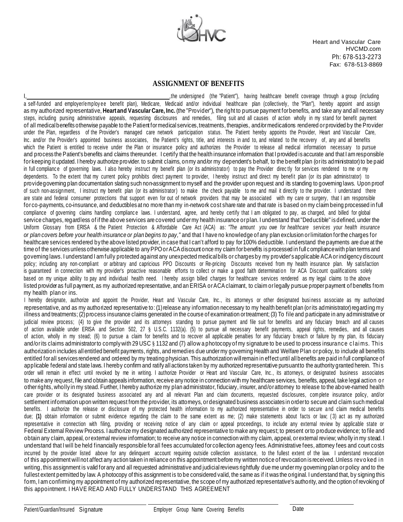

Heart and Vascular Care HVCMD.com Ph: 678-513-2273 Fax: 678-513-8869

#### **ASSIGNMENT OF BENEFITS**

I, the undersigned (the "Patient"), having healthcare benefit coverage through a group (including a self-funded and employer/employee benefit plan), Medicare, Medicaid and/or individual healthcare plan (collectively, the "Plan"), hereby appoint and assign as my authorized representative, **Heartand Vascular Care, Inc.** (the "Provider"), the right to pursue payment forbenefits, and take any and all necessary steps, including pursing administrative appeals, requesting disclosures and remedies, filing suit and all causes of action wholly in my stand for benefit payment of all medical benefits otherwise payable to the Patient for medical services, treatments, therapies, and/or medications rendered or provided by the Provider under the Plan, regardless of the Provider's managed care network participation status. The Patient hereby appoints the Provider, Heart and Vascular Care, Inc. and/or the Provider's appointed business associates, the Patient's rights, title, and interests in and to, and related to the recovery of, any and all benefits which the Patient is entitled to receive under the Plan or insurance policy and authorizes the Provider to release all medical information necessary to pursue and process the Patient's benefits and claims thereunder. I certify that the health insurance information that I provided is accurate and that I am responsible for keeping it updated. I hereby authorize provider, to submit claims, on my and/or my dependent's behalf, to the benefit plan (or its administrator) to be paid in full compliance of governing laws. I also hereby instruct my benefit plan (or its administrator) to pay the Provider directly for services rendered to me or my dependents. To the extent that my current policy prohibits direct payment to provider, I hereby instruct and direct my benefit plan (or its plan administrator) to providegoverning plan documentation slating such non-assignment to myself and the provider upon request and its standing to governing laws. Upon proof of such non-assignment, I instruct my benefit plan (or its administrator) to make the check payable to me and mail it directly to the provider. I understand there are state and federal consumer protections that support even for out of network providers that may be associated with my care or surgery, that I am responsible for co-payments, co-insurance, and deductibles at no more than my in-network cost share rate and that rate is based on my claim being processed in full compliance of governing claims handling compliance laws. I understand, agree, and hereby certify that I am obligated to pay, as charged, and billed for global service charges, regardless of if the above services are covered under my health insurance or plan. I understand that "Deductible" is defined, under the Uniform Glossary from ERISA & the Patient Protection & Affordable Care Act (ACA) as: *"The amount you owe for healthcare services your health insurance or plan covers before your health insurance or plan begins to pay,"* and that I have no knowledge of any plan exclusion or limitation for the charges for healthcare services rendered by the above listed provider, in case that I can't afford to pay for100% deductible. I understand the payments are due at the time of the services unless otherwise applicable to any PPO or ACA discount once my claim for benefits is processed in full compliance with plan terms and governing laws. I understand I am fully protected against any unexpected medical bills or charges by my provider's applicable ACA or indigency discount policy; including any non-compliant or arbitrary and capricious PPO Discounts or Re-pricing Discounts received from my health insurance plan. My satisfaction is guaranteed in connection with my provider's proactive reasonable efforts to collect or make a good faith determination for ACA Discount qualifications solely based on my unique ability to pay and individual health need. I hereby assign billed charges for healthcare services rendered as my legal claims to the above listed provider as full payment, as my authorized representative, and an ERISA or ACA claimant, to claim or legally pursue proper payment of benefits from my health plan or ins.

I hereby designate, authorize and appoint the Provider, Heart and Vascular Care, Inc., its attorneys or other designated busi ness associate as my authorized representative, and as my authorized representative to: (1) release any information necessary to my health benefit plan (or its administrator) regarding my illness and treatments; (2) process insurance claims generated in the course of examination or treatment; (3) To file and participate in any administrative or judicial review process; (4) to give the provider and its attorneys standing to pursue payment and file suit for benefits and any fiduciary breach and all causes of action available under ERISA and Section 502, 27 § U.S.C. 1132(a). (5) to pursue all necessary benefit payments, appeal rights, remedies, and all causes of action, wholly in my stead; (6) to pursue a claim for benefits and to recover all applicable penalties for any fiduciary b reach or failure by my plan, its fiduciary and/orits claims administratorto comply with 29 USC § 1132 and (7) allow a photocopy of my signature to be used to process insurance claims. This authorization includes all entitled benefit payments, rights, and remedies due undermy governing Health and Welfare Plan orpolicy, to include all benefits entitled forall services rendered and ordered by my treating physician. This authorization willremain in effect until all benefits are paid in full compliance of applicable federal and state laws. I hereby confirm and ratify all actions taken by my authorized representative pursuant to the authority granted herein. This order will remain in effect until revoked by me in writing. I authorize Provider or Heart and Vascular Care, Inc., its attorneys, or designated business associates to make any request, file and obtain appeals information, receive any notice in connection with my healthcare services, benefits, appeal, take legal action or otherrights, wholly in my stead. Further, I hereby authorize my plan administrator, fiduciary, insurer, and/orattorney to release to the above-named health care provider or its designated business associated any and all relevant Plan and claim documents, requested disclosures, com plete insurance policy, and/or settlement information upon written request from the provider, its attorneys, or designated business associates in order to secure and claim such medical benefits. I authorize the release or disclosure of my protected health information to my authorized representative in order to secure a nd claim medical benefits due; (1) obtain information or submit evidence regarding the claim to the same extent as me; (2) make statements about facts or law; (3) act as my authorized representative in connection with filing, providing or receiving notice of any claim or appeal proceedings, to include any external review by applicable state or Federal External Review Process. I authorize my designated authorized representative to make any request; to present orto produce evidence; to file and obtain any claim, appeal, orexternal review information; to receive any notice in connection with my claim, appeal, or external review; wholly in my stead. I understand that I will be held financially responsible for all fees accumulated for collection agency fees. Administrative fees, attorney fees and court costs incurred by the provider listed above for any delinquent account requiring outside collection assistance, to the fullest extent of the law. I understand revocation of this appointment will not affect any action taken in reliance on this appointment before my written notice of revocation is received. Unless rev o ked i n writing, this assignment is valid forany and all requested administrative and judicial reviews rightfully due me under my governing plan or policy and to the fullest extent permitted by law. A photocopy of this assignment is to be considered valid, the same as if it was the original. I understand that, by signing this form, I am confirming my appointment of my authorized representative, the scope of my authorized representative's authority, and the option of revoking of this appointment. I HAVE READ AND FULLY UNDERSTAND THIS AGREEMENT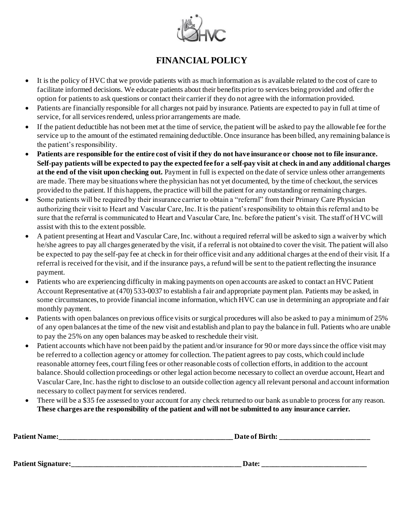

## **FINANCIAL POLICY**

- It is the policy of HVC that we provide patients with as much information as is available related to the cost of care to facilitate informed decisions. We educate patients about their benefits prior to services being provided and offer the option for patients to ask questions or contact their carrier if they do not agree with the information provided.
- Patients are financially responsible for all charges not paid by insurance. Patients are expected to pay in full at time of service, for all services rendered, unless prior arrangements are made.
- If the patient deductible has not been met at the time of service, the patient will be asked to pay the allowable fee for the service up to the amount of the estimated remaining deductible. Once insurance has been billed, any remaining balance is the patient's responsibility.
- **Patients are responsible for the entire cost of visit if they do not have insurance or choose not to file insurance. Self-pay patients will be expected to pay the expected fee for a self-pay visit at check in and any additional charges at the end of the visit upon checking out.** Payment in full is expected on the date of service unless other arrangements are made. There may be situations where the physician has not yet documented, by the time of checkout, the services provided to the patient. If this happens, the practice will bill the patient for any outstanding or remaining charges.
- Some patients will be required by their insurance carrier to obtain a "referral" from their Primary Care Physician authorizing their visit to Heart and Vascular Care, Inc. It is the patient's responsibility to obtain this referral and to be sure that the referral is communicated to Heart and Vascular Care, Inc. before the patient's visit. The staff of HVC will assist with this to the extent possible.
- A patient presenting at Heart and Vascular Care, Inc. without a required referral will be asked to sign a waiver by which he/she agrees to pay all charges generated by the visit, if a referral is not obtained to cover the visit. The patient will also be expected to pay the self-pay fee at check in for their office visit and any additional charges at the end of their visit. If a referral is received for the visit, and if the insurance pays, a refund will be sent to the patient reflecting the insurance payment.
- Patients who are experiencing difficulty in making payments on open accounts are asked to contact an HVC Patient Account Representative at (470) 533-0037 to establish a fair and appropriate payment plan. Patients may be asked, in some circumstances, to provide financial income information, which HVC can use in determining an appropriate and fair monthly payment.
- Patients with open balances on previous office visits or surgical procedures will also be asked to pay a minimum of 25% of any open balances at the time of the new visit and establish and plan to pay the balance in full. Patients who are unable to pay the 25% on any open balances may be asked to reschedule their visit.
- Patient accounts which have not been paid by the patient and/or insurance for 90 or more days since the office visit may be referred to a collection agency or attorney for collection. The patient agrees to pay costs, which could include reasonable attorney fees, court filing fees or other reasonable costs of collection efforts, in addition to the account balance. Should collection proceedings or other legal action become necessary to collect an overdue account, Heart and Vascular Care, Inc. has the right to disclose to an outside collection agency all relevant personal and account information necessary to collect payment for services rendered.
- There will be a \$35 fee assessed to your account for any check returned to our bank as unable to process for any reason. **These charges are the responsibility of the patient and will not be submitted to any insurance carrier.**

| <b>Patient Name:</b>      | Date of Birth: |  |
|---------------------------|----------------|--|
|                           |                |  |
|                           |                |  |
| <b>Patient Signature:</b> | Date:          |  |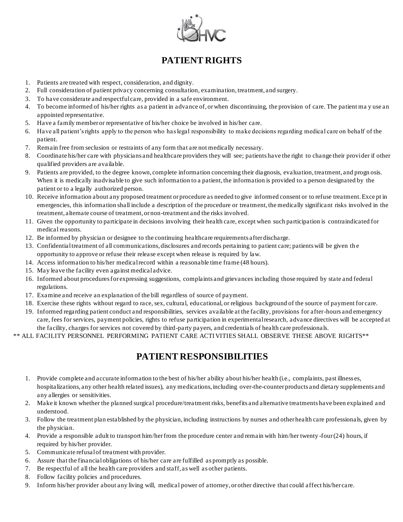

## **PATIENT RIGHTS**

- 1. Patients are treated with respect, consideration, and dignity.
- 2. Full consideration of patient privacy concerning consultation, examination, treatment, and surgery.
- 3. To have considerate and respectful care, provided in a safe environment.
- 4. To become informed of his/her rights as a patient in advance of, or when discontinuing, the provision of care. The patient ma y use an appointed representative.
- 5. Have a family member or representative of his/her choice be involved in his/her care.
- 6. Have all patient's rights apply to the person who has legal responsibility to make decisions regarding medical care on behalf of the patient.
- 7. Remain free from seclusion or restraints of any form that are not medically necessary.
- 8. Coordinate his/her care with physicians and healthcare providers they will see; patients have the right to change their provider if other qualified providers are available.
- 9. Patients are provided, to the degree known, complete information concerning their diagnosis, evaluation, treatment, and progn osis. When it is medically inadvisable to give such information to a patient, the information is provided to a person designated by the patient or to a legally authorized person.
- 10. Receive information about any proposed treatment or procedure as needed to give informed consent or to refuse treatment. Exce pt in emergencies, this information shall include a description of the procedure or treatment, the medically significant risks involved in the treatment, alternate course of treatment, or non-treatment and the risks involved.
- 11. Given the opportunity to participate in decisions involving their health care, except when such participation is contraindicated for medical reasons.
- 12. Be informed by physician or designee to the continuing healthcare requirements after discharge.
- 13. Confidential treatment of all communications, disclosures and records pertaining to patient care; patients will be given th e opportunity to approve or refuse their release except when release is required by law.
- 14. Access information to his/her medical record within a reasonable time frame (48 hours).
- 15. May leave the facility even against medical advice.
- 16. Informed about procedures for expressing suggestions, complaints and grievances including those required by state and federal regulations.
- 17. Examine and receive an explanation of the bill regardless of source of payment.
- 18. Exercise these rights without regard to race, sex, cultural, educational, or religious background of the source of payment for care.
- 19. Informed regarding patient conduct and responsibilities, services available at the facility, provisions for after-hours and emergency care, fees for services, payment policies, rights to refuse participation in experimental research, advance directives will be accepted at the facility, charges for services not covered by third-party payers, and credentials of health care professionals.
- \*\* ALL FACILITY PERSONNEL PERFORMING PATIENT CARE ACTIVITIES SHALL OBSERVE THESE ABOVE RIGHTS\*\*

## **PATIENT RESPONSIBILITIES**

- 1. Provide complete and accurate information to the best of his/her ability about his/her health (i.e., complaints, past illness es, hospitalizations, any other health related issues), any medications, including over-the-counter products and dietary supplements and any allergies or sensitivities.
- 2. Make it known whether the planned surgical procedure/treatment risks, benefits and alternative treatments have been explained and understood.
- 3. Follow the treatment plan established by the physician, including instructions by nurses and other health care professionals, given by the physician.
- 4. Provide a responsible adult to transport him/her from the procedure center and remain with him/her twenty -four (24) hours, if required by his/her provider.
- 5. Communicate refusal of treatment with provider.
- 6. Assure that the financial obligations of his/her care are fulfilled as promptly as possible.
- 7. Be respectful of all the health care providers and staff, as well as other patients.
- 8. Follow facility policies and procedures.
- 9. Inform his/her provider about any living will, medical power of attorney, or other directive that could affect his/her care.